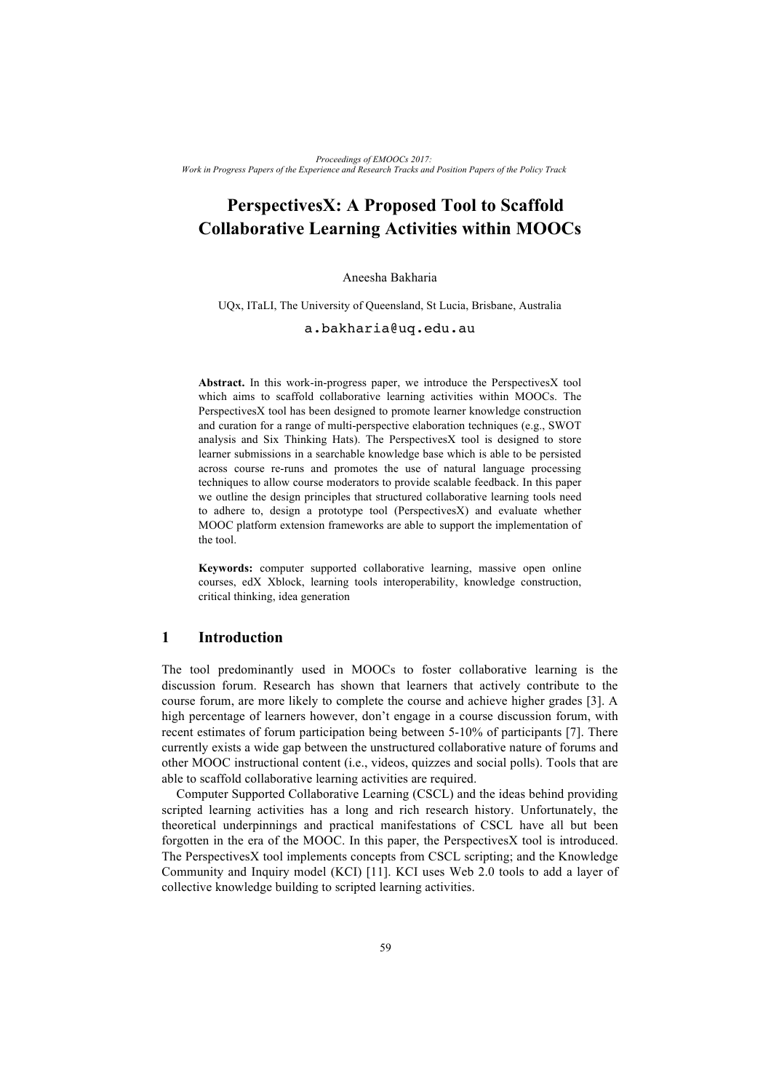# **PerspectivesX: A Proposed Tool to Scaffold Collaborative Learning Activities within MOOCs**

#### Aneesha Bakharia

UQx, ITaLI, The University of Queensland, St Lucia, Brisbane, Australia

#### a.bakharia@uq.edu.au

**Abstract.** In this work-in-progress paper, we introduce the PerspectivesX tool which aims to scaffold collaborative learning activities within MOOCs. The PerspectivesX tool has been designed to promote learner knowledge construction and curation for a range of multi-perspective elaboration techniques (e.g., SWOT analysis and Six Thinking Hats). The PerspectivesX tool is designed to store learner submissions in a searchable knowledge base which is able to be persisted across course re-runs and promotes the use of natural language processing techniques to allow course moderators to provide scalable feedback. In this paper we outline the design principles that structured collaborative learning tools need to adhere to, design a prototype tool (PerspectivesX) and evaluate whether MOOC platform extension frameworks are able to support the implementation of the tool.

**Keywords:** computer supported collaborative learning, massive open online courses, edX Xblock, learning tools interoperability, knowledge construction, critical thinking, idea generation

#### **1 Introduction**

The tool predominantly used in MOOCs to foster collaborative learning is the discussion forum. Research has shown that learners that actively contribute to the course forum, are more likely to complete the course and achieve higher grades [3]. A high percentage of learners however, don't engage in a course discussion forum, with recent estimates of forum participation being between 5-10% of participants [7]. There currently exists a wide gap between the unstructured collaborative nature of forums and other MOOC instructional content (i.e., videos, quizzes and social polls). Tools that are able to scaffold collaborative learning activities are required.

Computer Supported Collaborative Learning (CSCL) and the ideas behind providing scripted learning activities has a long and rich research history. Unfortunately, the theoretical underpinnings and practical manifestations of CSCL have all but been forgotten in the era of the MOOC. In this paper, the PerspectivesX tool is introduced. The PerspectivesX tool implements concepts from CSCL scripting; and the Knowledge Community and Inquiry model (KCI) [11]. KCI uses Web 2.0 tools to add a layer of collective knowledge building to scripted learning activities.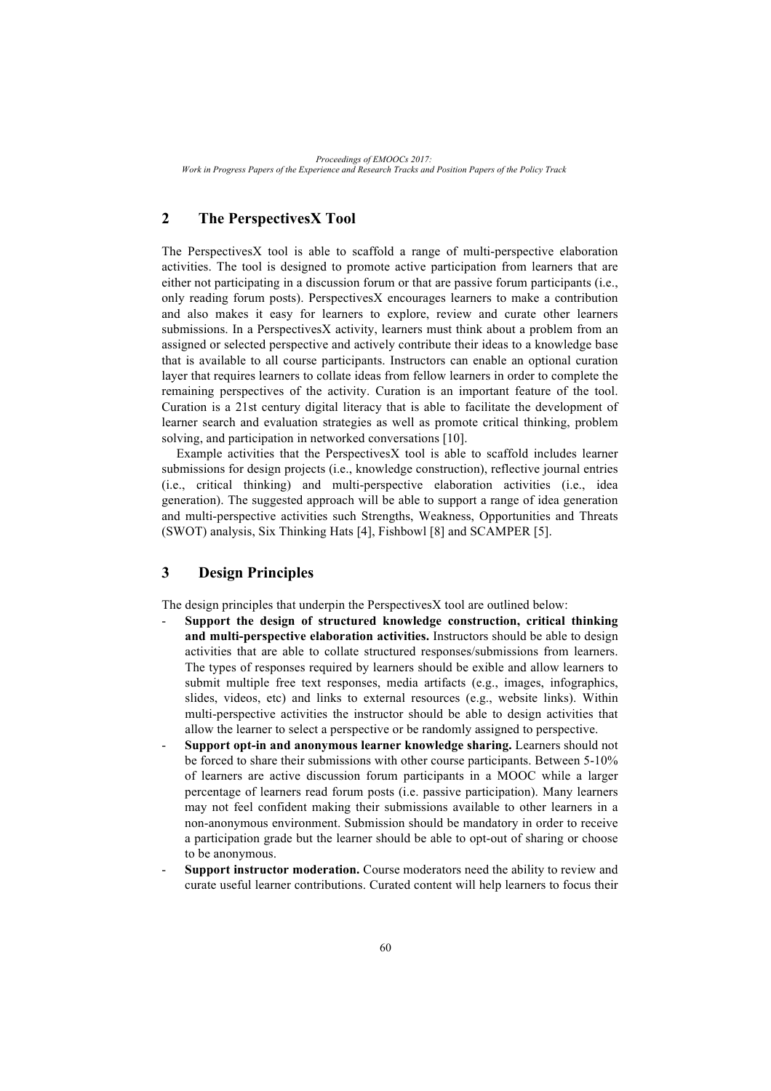# **2 The PerspectivesX Tool**

The PerspectivesX tool is able to scaffold a range of multi-perspective elaboration activities. The tool is designed to promote active participation from learners that are either not participating in a discussion forum or that are passive forum participants (i.e., only reading forum posts). PerspectivesX encourages learners to make a contribution and also makes it easy for learners to explore, review and curate other learners submissions. In a PerspectivesX activity, learners must think about a problem from an assigned or selected perspective and actively contribute their ideas to a knowledge base that is available to all course participants. Instructors can enable an optional curation layer that requires learners to collate ideas from fellow learners in order to complete the remaining perspectives of the activity. Curation is an important feature of the tool. Curation is a 21st century digital literacy that is able to facilitate the development of learner search and evaluation strategies as well as promote critical thinking, problem solving, and participation in networked conversations [10].

Example activities that the PerspectivesX tool is able to scaffold includes learner submissions for design projects (i.e., knowledge construction), reflective journal entries (i.e., critical thinking) and multi-perspective elaboration activities (i.e., idea generation). The suggested approach will be able to support a range of idea generation and multi-perspective activities such Strengths, Weakness, Opportunities and Threats (SWOT) analysis, Six Thinking Hats [4], Fishbowl [8] and SCAMPER [5].

# **3 Design Principles**

The design principles that underpin the PerspectivesX tool are outlined below:

- **Support the design of structured knowledge construction, critical thinking and multi-perspective elaboration activities.** Instructors should be able to design activities that are able to collate structured responses/submissions from learners. The types of responses required by learners should be exible and allow learners to submit multiple free text responses, media artifacts (e.g., images, infographics, slides, videos, etc) and links to external resources (e.g., website links). Within multi-perspective activities the instructor should be able to design activities that allow the learner to select a perspective or be randomly assigned to perspective.
- **Support opt-in and anonymous learner knowledge sharing.** Learners should not be forced to share their submissions with other course participants. Between 5-10% of learners are active discussion forum participants in a MOOC while a larger percentage of learners read forum posts (i.e. passive participation). Many learners may not feel confident making their submissions available to other learners in a non-anonymous environment. Submission should be mandatory in order to receive a participation grade but the learner should be able to opt-out of sharing or choose to be anonymous.
- **Support instructor moderation.** Course moderators need the ability to review and curate useful learner contributions. Curated content will help learners to focus their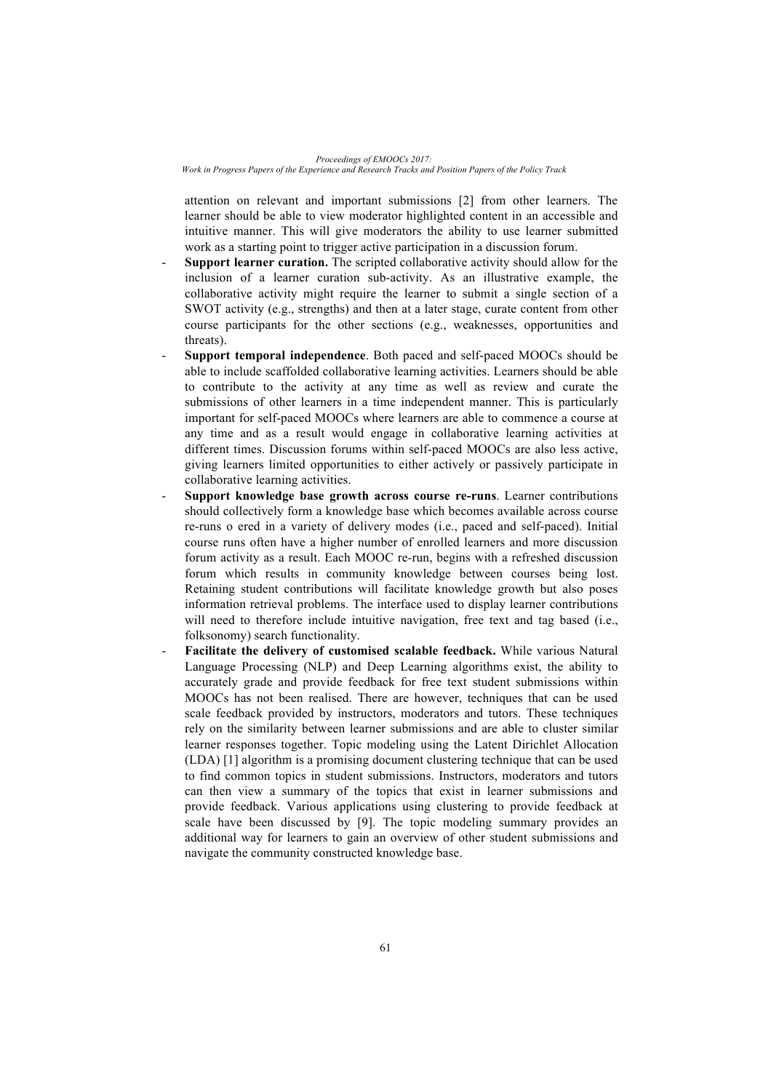attention on relevant and important submissions [2] from other learners. The learner should be able to view moderator highlighted content in an accessible and intuitive manner. This will give moderators the ability to use learner submitted work as a starting point to trigger active participation in a discussion forum.

- Support learner curation. The scripted collaborative activity should allow for the inclusion of a learner curation sub-activity. As an illustrative example, the collaborative activity might require the learner to submit a single section of a SWOT activity (e.g., strengths) and then at a later stage, curate content from other course participants for the other sections (e.g., weaknesses, opportunities and threats).
- Support temporal independence. Both paced and self-paced MOOCs should be able to include scaffolded collaborative learning activities. Learners should be able to contribute to the activity at any time as well as review and curate the submissions of other learners in a time independent manner. This is particularly important for self-paced MOOCs where learners are able to commence a course at any time and as a result would engage in collaborative learning activities at different times. Discussion forums within self-paced MOOCs are also less active, giving learners limited opportunities to either actively or passively participate in collaborative learning activities.
- **Support knowledge base growth across course re-runs**. Learner contributions should collectively form a knowledge base which becomes available across course re-runs o ered in a variety of delivery modes (i.e., paced and self-paced). Initial course runs often have a higher number of enrolled learners and more discussion forum activity as a result. Each MOOC re-run, begins with a refreshed discussion forum which results in community knowledge between courses being lost. Retaining student contributions will facilitate knowledge growth but also poses information retrieval problems. The interface used to display learner contributions will need to therefore include intuitive navigation, free text and tag based (i.e., folksonomy) search functionality.
- Facilitate the delivery of customised scalable feedback. While various Natural Language Processing (NLP) and Deep Learning algorithms exist, the ability to accurately grade and provide feedback for free text student submissions within MOOCs has not been realised. There are however, techniques that can be used scale feedback provided by instructors, moderators and tutors. These techniques rely on the similarity between learner submissions and are able to cluster similar learner responses together. Topic modeling using the Latent Dirichlet Allocation (LDA) [1] algorithm is a promising document clustering technique that can be used to find common topics in student submissions. Instructors, moderators and tutors can then view a summary of the topics that exist in learner submissions and provide feedback. Various applications using clustering to provide feedback at scale have been discussed by [9]. The topic modeling summary provides an additional way for learners to gain an overview of other student submissions and navigate the community constructed knowledge base.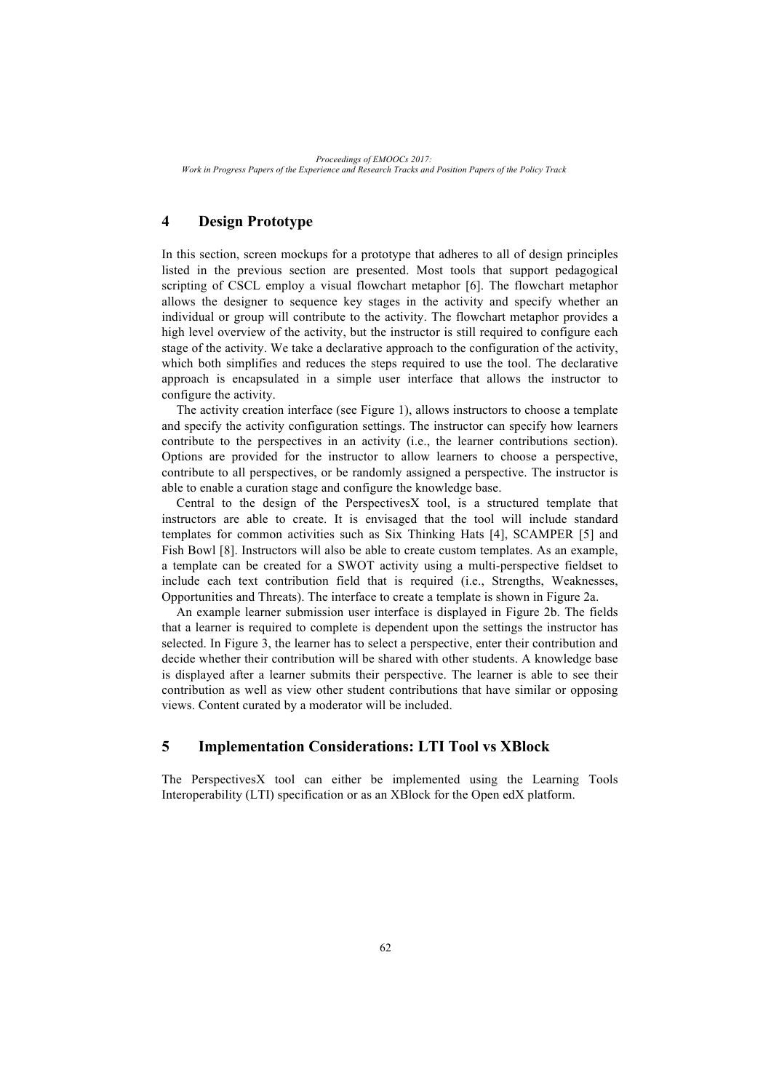# **4 Design Prototype**

In this section, screen mockups for a prototype that adheres to all of design principles listed in the previous section are presented. Most tools that support pedagogical scripting of CSCL employ a visual flowchart metaphor [6]. The flowchart metaphor allows the designer to sequence key stages in the activity and specify whether an individual or group will contribute to the activity. The flowchart metaphor provides a high level overview of the activity, but the instructor is still required to configure each stage of the activity. We take a declarative approach to the configuration of the activity, which both simplifies and reduces the steps required to use the tool. The declarative approach is encapsulated in a simple user interface that allows the instructor to configure the activity.

The activity creation interface (see Figure 1), allows instructors to choose a template and specify the activity configuration settings. The instructor can specify how learners contribute to the perspectives in an activity (i.e., the learner contributions section). Options are provided for the instructor to allow learners to choose a perspective, contribute to all perspectives, or be randomly assigned a perspective. The instructor is able to enable a curation stage and configure the knowledge base.

Central to the design of the PerspectivesX tool, is a structured template that instructors are able to create. It is envisaged that the tool will include standard templates for common activities such as Six Thinking Hats [4], SCAMPER [5] and Fish Bowl [8]. Instructors will also be able to create custom templates. As an example, a template can be created for a SWOT activity using a multi-perspective fieldset to include each text contribution field that is required (i.e., Strengths, Weaknesses, Opportunities and Threats). The interface to create a template is shown in Figure 2a.

An example learner submission user interface is displayed in Figure 2b. The fields that a learner is required to complete is dependent upon the settings the instructor has selected. In Figure 3, the learner has to select a perspective, enter their contribution and decide whether their contribution will be shared with other students. A knowledge base is displayed after a learner submits their perspective. The learner is able to see their contribution as well as view other student contributions that have similar or opposing views. Content curated by a moderator will be included.

## **5 Implementation Considerations: LTI Tool vs XBlock**

The PerspectivesX tool can either be implemented using the Learning Tools Interoperability (LTI) specification or as an XBlock for the Open edX platform.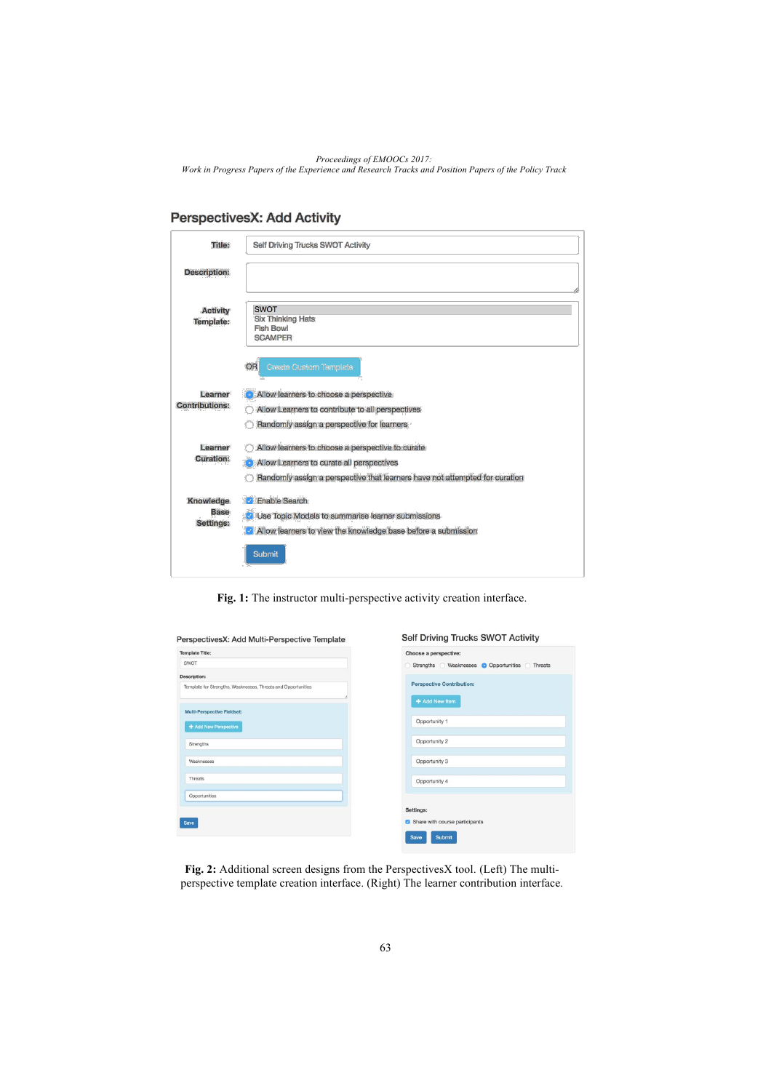|  | PerspectivesX: Add Activity |  |  |  |
|--|-----------------------------|--|--|--|
|--|-----------------------------|--|--|--|

| Title:                                | Self Driving Trucks SWOT Activity                                                                                                                                            |
|---------------------------------------|------------------------------------------------------------------------------------------------------------------------------------------------------------------------------|
| <b>Description:</b>                   |                                                                                                                                                                              |
| <b>Activity</b><br><b>Template:</b>   | <b>SWOT</b><br>Six Thinking Hats<br><b>Fish Bowl</b><br><b>SCAMPER</b>                                                                                                       |
| Learner<br><b>Contributions:</b>      | OR<br>Create Custom Template<br>Allow learners to choose a perspective<br>Allow Learners to contribute to all perspectives<br>Randomly assign a perspective for learners     |
| Learner<br><b>Curation:</b>           | Allow learners to choose a perspective to curate<br>Allow Learners to curate all perspectives<br>Randomly assign a perspective that learners have not attempted for curation |
| Knowledge<br><b>Base</b><br>Settings: | <b>V</b> Enable Search<br><b>Z</b> Use Topic Models to summarise learner submissions<br>Allow learners to view the knowledge base before a submission<br>Submit              |

**Fig. 1:** The instructor multi-perspective activity creation interface.

Opportunities @ Threats

| <b>Template Title:</b>                                        | Choose a perspective:                    |
|---------------------------------------------------------------|------------------------------------------|
| <b>SWOT</b>                                                   | Strengths Weaknesses O Opportunities Thr |
| <b>Description:</b>                                           |                                          |
| Template for Strengths, Weaknesses, Threats and Opportunities | <b>Perspective Contribution:</b>         |
| Multi-Perspective Fieldset:<br>+ Add New Perspective          | + Add New Item<br>Opportunity 1          |
| Strengths                                                     | Opportunity 2                            |
| Weaknesses                                                    | Opportunity 3                            |
| Threats                                                       | Opportunity 4                            |
| Opportunities                                                 |                                          |
|                                                               | Settings:                                |
| Save                                                          | Share with course participants           |
|                                                               | Submit<br>Save                           |

**Fig. 2:** Additional screen designs from the PerspectivesX tool. (Left) The multiperspective template creation interface. (Right) The learner contribution interface.

63